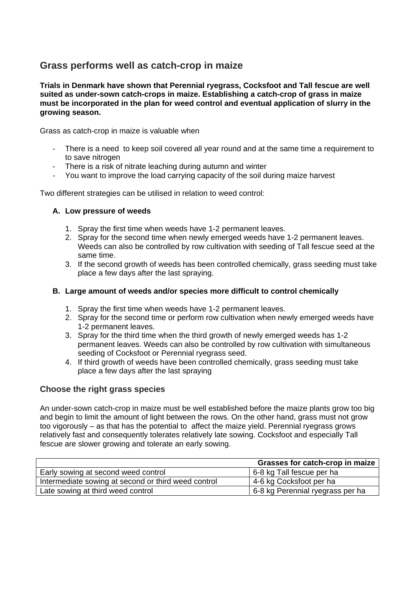# **Grass performs well as catch-crop in maize**

**Trials in Denmark have shown that Perennial ryegrass, Cocksfoot and Tall fescue are well suited as under-sown catch-crops in maize. Establishing a catch-crop of grass in maize must be incorporated in the plan for weed control and eventual application of slurry in the growing season.** 

Grass as catch-crop in maize is valuable when

- There is a need to keep soil covered all year round and at the same time a requirement to to save nitrogen
- There is a risk of nitrate leaching during autumn and winter
- You want to improve the load carrying capacity of the soil during maize harvest

Two different strategies can be utilised in relation to weed control:

#### **A. Low pressure of weeds**

- 1. Spray the first time when weeds have 1-2 permanent leaves.
- 2. Spray for the second time when newly emerged weeds have 1-2 permanent leaves. Weeds can also be controlled by row cultivation with seeding of Tall fescue seed at the same time.
- 3. If the second growth of weeds has been controlled chemically, grass seeding must take place a few days after the last spraying.

#### **B. Large amount of weeds and/or species more difficult to control chemically**

- 1. Spray the first time when weeds have 1-2 permanent leaves.
- 2. Spray for the second time or perform row cultivation when newly emerged weeds have 1-2 permanent leaves.
- 3. Spray for the third time when the third growth of newly emerged weeds has 1-2 permanent leaves. Weeds can also be controlled by row cultivation with simultaneous seeding of Cocksfoot or Perennial ryegrass seed.
- 4. If third growth of weeds have been controlled chemically, grass seeding must take place a few days after the last spraying

### **Choose the right grass species**

An under-sown catch-crop in maize must be well established before the maize plants grow too big and begin to limit the amount of light between the rows. On the other hand, grass must not grow too vigorously – as that has the potential to affect the maize yield. Perennial ryegrass grows relatively fast and consequently tolerates relatively late sowing. Cocksfoot and especially Tall fescue are slower growing and tolerate an early sowing.

|                                                     | Grasses for catch-crop in maize  |
|-----------------------------------------------------|----------------------------------|
| Early sowing at second weed control                 | 6-8 kg Tall fescue per ha        |
| Intermediate sowing at second or third weed control | 4-6 kg Cocksfoot per ha          |
| Late sowing at third weed control                   | 6-8 kg Perennial ryegrass per ha |